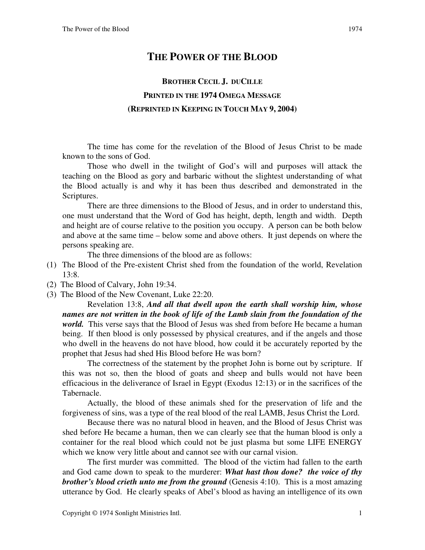## **THE POWER OF THE BLOOD**

## **BROTHER CECIL J. DUCILLE PRINTED IN THE 1974 OMEGA MESSAGE (REPRINTED IN KEEPING IN TOUCH MAY 9, 2004)**

The time has come for the revelation of the Blood of Jesus Christ to be made known to the sons of God.

Those who dwell in the twilight of God's will and purposes will attack the teaching on the Blood as gory and barbaric without the slightest understanding of what the Blood actually is and why it has been thus described and demonstrated in the Scriptures.

There are three dimensions to the Blood of Jesus, and in order to understand this, one must understand that the Word of God has height, depth, length and width. Depth and height are of course relative to the position you occupy. A person can be both below and above at the same time – below some and above others. It just depends on where the persons speaking are.

The three dimensions of the blood are as follows:

- (1) The Blood of the Pre-existent Christ shed from the foundation of the world, Revelation 13:8.
- (2) The Blood of Calvary, John 19:34.
- (3) The Blood of the New Covenant, Luke 22:20.

Revelation 13:8, *And all that dwell upon the earth shall worship him, whose names are not written in the book of life of the Lamb slain from the foundation of the world.* This verse says that the Blood of Jesus was shed from before He became a human being. If then blood is only possessed by physical creatures, and if the angels and those who dwell in the heavens do not have blood, how could it be accurately reported by the prophet that Jesus had shed His Blood before He was born?

The correctness of the statement by the prophet John is borne out by scripture. If this was not so, then the blood of goats and sheep and bulls would not have been efficacious in the deliverance of Israel in Egypt (Exodus 12:13) or in the sacrifices of the Tabernacle.

Actually, the blood of these animals shed for the preservation of life and the forgiveness of sins, was a type of the real blood of the real LAMB, Jesus Christ the Lord.

Because there was no natural blood in heaven, and the Blood of Jesus Christ was shed before He became a human, then we can clearly see that the human blood is only a container for the real blood which could not be just plasma but some LIFE ENERGY which we know very little about and cannot see with our carnal vision.

The first murder was committed. The blood of the victim had fallen to the earth and God came down to speak to the murderer: *What hast thou done? the voice of thy brother's blood crieth unto me from the ground* (Genesis 4:10). This is a most amazing utterance by God. He clearly speaks of Abel's blood as having an intelligence of its own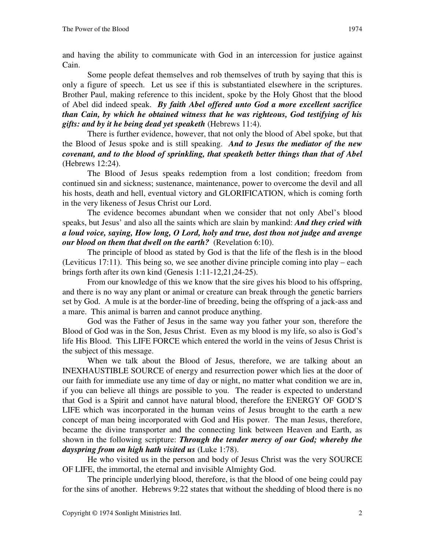Some people defeat themselves and rob themselves of truth by saying that this is only a figure of speech. Let us see if this is substantiated elsewhere in the scriptures. Brother Paul, making reference to this incident, spoke by the Holy Ghost that the blood of Abel did indeed speak. *By faith Abel offered unto God a more excellent sacrifice than Cain, by which he obtained witness that he was righteous, God testifying of his gifts: and by it he being dead yet speaketh* (Hebrews 11:4).

There is further evidence, however, that not only the blood of Abel spoke, but that the Blood of Jesus spoke and is still speaking. *And to Jesus the mediator of the new covenant, and to the blood of sprinkling, that speaketh better things than that of Abel*  (Hebrews 12:24).

The Blood of Jesus speaks redemption from a lost condition; freedom from continued sin and sickness; sustenance, maintenance, power to overcome the devil and all his hosts, death and hell, eventual victory and GLORIFICATION, which is coming forth in the very likeness of Jesus Christ our Lord.

The evidence becomes abundant when we consider that not only Abel's blood speaks, but Jesus' and also all the saints which are slain by mankind: *And they cried with a loud voice, saying, How long, O Lord, holy and true, dost thou not judge and avenge our blood on them that dwell on the earth?* (Revelation 6:10).

The principle of blood as stated by God is that the life of the flesh is in the blood (Leviticus 17:11). This being so, we see another divine principle coming into play – each brings forth after its own kind (Genesis 1:11-12,21,24-25).

From our knowledge of this we know that the sire gives his blood to his offspring, and there is no way any plant or animal or creature can break through the genetic barriers set by God. A mule is at the border-line of breeding, being the offspring of a jack-ass and a mare. This animal is barren and cannot produce anything.

God was the Father of Jesus in the same way you father your son, therefore the Blood of God was in the Son, Jesus Christ. Even as my blood is my life, so also is God's life His Blood. This LIFE FORCE which entered the world in the veins of Jesus Christ is the subject of this message.

When we talk about the Blood of Jesus, therefore, we are talking about an INEXHAUSTIBLE SOURCE of energy and resurrection power which lies at the door of our faith for immediate use any time of day or night, no matter what condition we are in, if you can believe all things are possible to you. The reader is expected to understand that God is a Spirit and cannot have natural blood, therefore the ENERGY OF GOD'S LIFE which was incorporated in the human veins of Jesus brought to the earth a new concept of man being incorporated with God and His power. The man Jesus, therefore, became the divine transporter and the connecting link between Heaven and Earth, as shown in the following scripture: *Through the tender mercy of our God; whereby the dayspring from on high hath visited us* (Luke 1:78).

He who visited us in the person and body of Jesus Christ was the very SOURCE OF LIFE, the immortal, the eternal and invisible Almighty God.

The principle underlying blood, therefore, is that the blood of one being could pay for the sins of another. Hebrews 9:22 states that without the shedding of blood there is no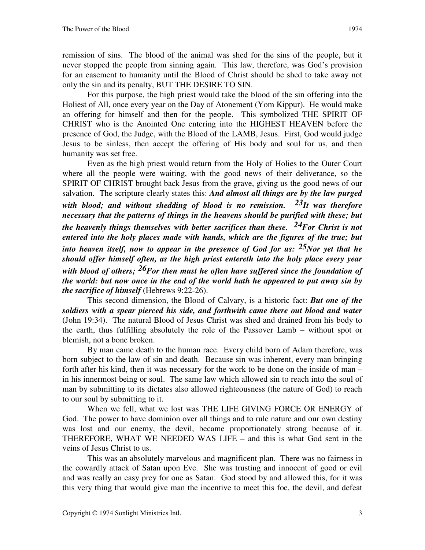remission of sins. The blood of the animal was shed for the sins of the people, but it never stopped the people from sinning again. This law, therefore, was God's provision for an easement to humanity until the Blood of Christ should be shed to take away not only the sin and its penalty, BUT THE DESIRE TO SIN.

For this purpose, the high priest would take the blood of the sin offering into the Holiest of All, once every year on the Day of Atonement (Yom Kippur). He would make an offering for himself and then for the people. This symbolized THE SPIRIT OF CHRIST who is the Anointed One entering into the HIGHEST HEAVEN before the presence of God, the Judge, with the Blood of the LAMB, Jesus. First, God would judge Jesus to be sinless, then accept the offering of His body and soul for us, and then humanity was set free.

Even as the high priest would return from the Holy of Holies to the Outer Court where all the people were waiting, with the good news of their deliverance, so the SPIRIT OF CHRIST brought back Jesus from the grave, giving us the good news of our salvation. The scripture clearly states this: *And almost all things are by the law purged with blood; and without shedding of blood is no remission. 23It was therefore necessary that the patterns of things in the heavens should be purified with these; but the heavenly things themselves with better sacrifices than these. 24For Christ is not entered into the holy places made with hands, which are the figures of the true; but into heaven itself, now to appear in the presence of God for us: 25Nor yet that he should offer himself often, as the high priest entereth into the holy place every year with blood of others; 26For then must he often have suffered since the foundation of the world: but now once in the end of the world hath he appeared to put away sin by the sacrifice of himself* (Hebrews 9:22-26).

This second dimension, the Blood of Calvary, is a historic fact: *But one of the soldiers with a spear pierced his side, and forthwith came there out blood and water* (John 19:34). The natural Blood of Jesus Christ was shed and drained from his body to the earth, thus fulfilling absolutely the role of the Passover Lamb – without spot or blemish, not a bone broken.

By man came death to the human race. Every child born of Adam therefore, was born subject to the law of sin and death. Because sin was inherent, every man bringing forth after his kind, then it was necessary for the work to be done on the inside of man – in his innermost being or soul. The same law which allowed sin to reach into the soul of man by submitting to its dictates also allowed righteousness (the nature of God) to reach to our soul by submitting to it.

When we fell, what we lost was THE LIFE GIVING FORCE OR ENERGY of God. The power to have dominion over all things and to rule nature and our own destiny was lost and our enemy, the devil, became proportionately strong because of it. THEREFORE, WHAT WE NEEDED WAS LIFE – and this is what God sent in the veins of Jesus Christ to us.

This was an absolutely marvelous and magnificent plan. There was no fairness in the cowardly attack of Satan upon Eve. She was trusting and innocent of good or evil and was really an easy prey for one as Satan. God stood by and allowed this, for it was this very thing that would give man the incentive to meet this foe, the devil, and defeat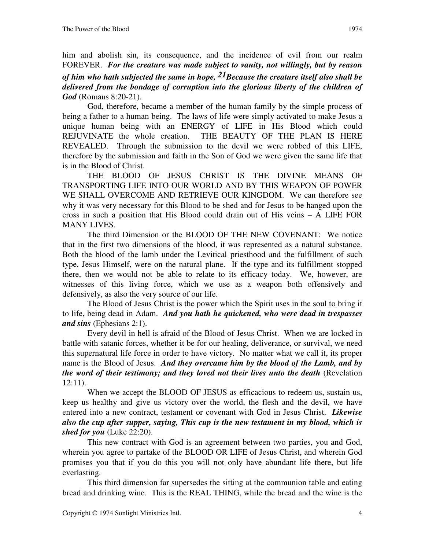him and abolish sin, its consequence, and the incidence of evil from our realm FOREVER. *For the creature was made subject to vanity, not willingly, but by reason of him who hath subjected the same in hope, 21Because the creature itself also shall be delivered from the bondage of corruption into the glorious liberty of the children of God* (Romans 8:20-21).

God, therefore, became a member of the human family by the simple process of being a father to a human being. The laws of life were simply activated to make Jesus a unique human being with an ENERGY of LIFE in His Blood which could REJUVINATE the whole creation. THE BEAUTY OF THE PLAN IS HERE REVEALED. Through the submission to the devil we were robbed of this LIFE, therefore by the submission and faith in the Son of God we were given the same life that is in the Blood of Christ.

THE BLOOD OF JESUS CHRIST IS THE DIVINE MEANS OF TRANSPORTING LIFE INTO OUR WORLD AND BY THIS WEAPON OF POWER WE SHALL OVERCOME AND RETRIEVE OUR KINGDOM. We can therefore see why it was very necessary for this Blood to be shed and for Jesus to be hanged upon the cross in such a position that His Blood could drain out of His veins – A LIFE FOR MANY LIVES.

The third Dimension or the BLOOD OF THE NEW COVENANT: We notice that in the first two dimensions of the blood, it was represented as a natural substance. Both the blood of the lamb under the Levitical priesthood and the fulfillment of such type, Jesus Himself, were on the natural plane. If the type and its fulfillment stopped there, then we would not be able to relate to its efficacy today. We, however, are witnesses of this living force, which we use as a weapon both offensively and defensively, as also the very source of our life.

The Blood of Jesus Christ is the power which the Spirit uses in the soul to bring it to life, being dead in Adam. *And you hath he quickened, who were dead in trespasses and sins* (Ephesians 2:1).

Every devil in hell is afraid of the Blood of Jesus Christ. When we are locked in battle with satanic forces, whether it be for our healing, deliverance, or survival, we need this supernatural life force in order to have victory. No matter what we call it, its proper name is the Blood of Jesus. *And they overcame him by the blood of the Lamb, and by the word of their testimony; and they loved not their lives unto the death* (Revelation 12:11).

When we accept the BLOOD OF JESUS as efficacious to redeem us, sustain us, keep us healthy and give us victory over the world, the flesh and the devil, we have entered into a new contract, testament or covenant with God in Jesus Christ. *Likewise also the cup after supper, saying, This cup is the new testament in my blood, which is shed for you* (Luke 22:20).

This new contract with God is an agreement between two parties, you and God, wherein you agree to partake of the BLOOD OR LIFE of Jesus Christ, and wherein God promises you that if you do this you will not only have abundant life there, but life everlasting.

This third dimension far supersedes the sitting at the communion table and eating bread and drinking wine. This is the REAL THING, while the bread and the wine is the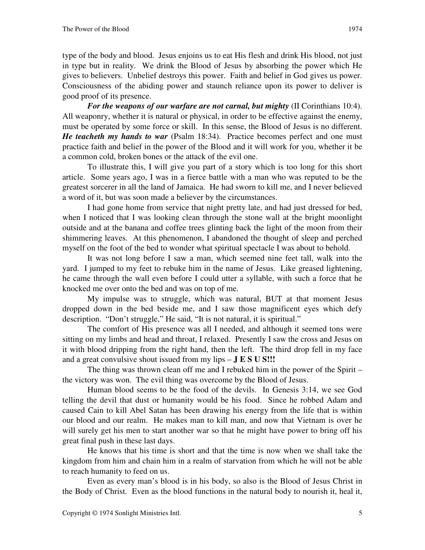type of the body and blood. Jesus enjoins us to eat His flesh and drink His blood, not just in type but in reality. We drink the Blood of Jesus by absorbing the power which He gives to believers. Unbelief destroys this power. Faith and belief in God gives us power. Consciousness of the abiding power and staunch reliance upon its power to deliver is good proof of its presence.

*For the weapons of our warfare are not carnal, but mighty* (II Corinthians 10:4). All weaponry, whether it is natural or physical, in order to be effective against the enemy, must be operated by some force or skill. In this sense, the Blood of Jesus is no different. *He teacheth my hands to war* (Psalm 18:34). Practice becomes perfect and one must practice faith and belief in the power of the Blood and it will work for you, whether it be a common cold, broken bones or the attack of the evil one.

To illustrate this, I will give you part of a story which is too long for this short article. Some years ago, I was in a fierce battle with a man who was reputed to be the greatest sorcerer in all the land of Jamaica. He had sworn to kill me, and I never believed a word of it, but was soon made a believer by the circumstances.

I had gone home from service that night pretty late, and had just dressed for bed, when I noticed that I was looking clean through the stone wall at the bright moonlight outside and at the banana and coffee trees glinting back the light of the moon from their shimmering leaves. At this phenomenon, I abandoned the thought of sleep and perched myself on the foot of the bed to wonder what spiritual spectacle I was about to behold.

It was not long before I saw a man, which seemed nine feet tall, walk into the yard. I jumped to my feet to rebuke him in the name of Jesus. Like greased lightening, he came through the wall even before I could utter a syllable, with such a force that he knocked me over onto the bed and was on top of me.

My impulse was to struggle, which was natural, BUT at that moment Jesus dropped down in the bed beside me, and I saw those magnificent eyes which defy description. "Don't struggle," He said, "It is not natural, it is spiritual."

The comfort of His presence was all I needed, and although it seemed tons were sitting on my limbs and head and throat, I relaxed. Presently I saw the cross and Jesus on it with blood dripping from the right hand, then the left. The third drop fell in my face and a great convulsive shout issued from my lips – **J E S U S!!!**

The thing was thrown clean off me and I rebuked him in the power of the Spirit – the victory was won. The evil thing was overcome by the Blood of Jesus.

Human blood seems to be the food of the devils. In Genesis 3:14, we see God telling the devil that dust or humanity would be his food. Since he robbed Adam and caused Cain to kill Abel Satan has been drawing his energy from the life that is within our blood and our realm. He makes man to kill man, and now that Vietnam is over he will surely get his men to start another war so that he might have power to bring off his great final push in these last days.

He knows that his time is short and that the time is now when we shall take the kingdom from him and chain him in a realm of starvation from which he will not be able to reach humanity to feed on us.

Even as every man's blood is in his body, so also is the Blood of Jesus Christ in the Body of Christ. Even as the blood functions in the natural body to nourish it, heal it,